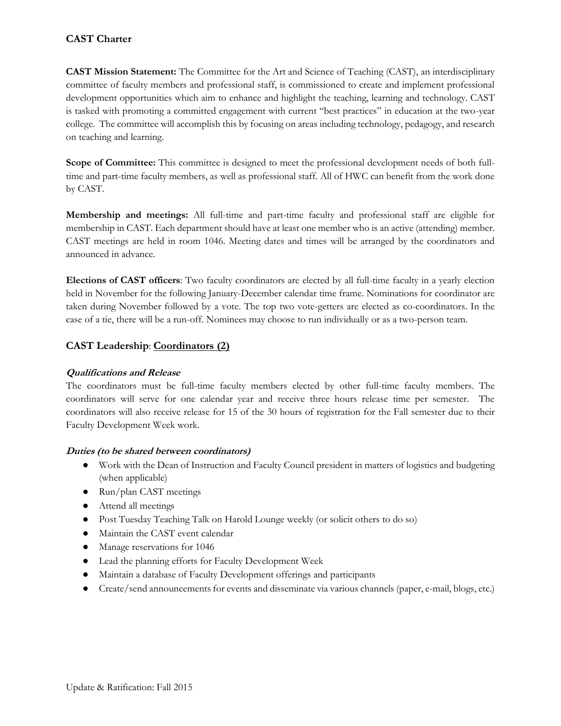# **CAST Charter**

**CAST Mission Statement:** The Committee for the Art and Science of Teaching (CAST), an interdisciplinary committee of faculty members and professional staff, is commissioned to create and implement professional development opportunities which aim to enhance and highlight the teaching, learning and technology. CAST is tasked with promoting a committed engagement with current "best practices" in education at the two-year college. The committee will accomplish this by focusing on areas including technology, pedagogy, and research on teaching and learning.

**Scope of Committee:** This committee is designed to meet the professional development needs of both fulltime and part-time faculty members, as well as professional staff. All of HWC can benefit from the work done by CAST.

**Membership and meetings:** All full-time and part-time faculty and professional staff are eligible for membership in CAST. Each department should have at least one member who is an active (attending) member. CAST meetings are held in room 1046. Meeting dates and times will be arranged by the coordinators and announced in advance.

**Elections of CAST officers**: Two faculty coordinators are elected by all full-time faculty in a yearly election held in November for the following January-December calendar time frame. Nominations for coordinator are taken during November followed by a vote. The top two vote-getters are elected as co-coordinators. In the case of a tie, there will be a run-off. Nominees may choose to run individually or as a two-person team.

# **CAST Leadership**: **Coordinators (2)**

## **Qualifications and Release**

The coordinators must be full-time faculty members elected by other full-time faculty members. The coordinators will serve for one calendar year and receive three hours release time per semester. The coordinators will also receive release for 15 of the 30 hours of registration for the Fall semester due to their Faculty Development Week work.

#### **Duties (to be shared between coordinators)**

- Work with the Dean of Instruction and Faculty Council president in matters of logistics and budgeting (when applicable)
- Run/plan CAST meetings
- Attend all meetings
- Post Tuesday Teaching Talk on Harold Lounge weekly (or solicit others to do so)
- Maintain the CAST event calendar
- Manage reservations for 1046
- Lead the planning efforts for Faculty Development Week
- Maintain a database of Faculty Development offerings and participants
- Create/send announcements for events and disseminate via various channels (paper, e-mail, blogs, etc.)